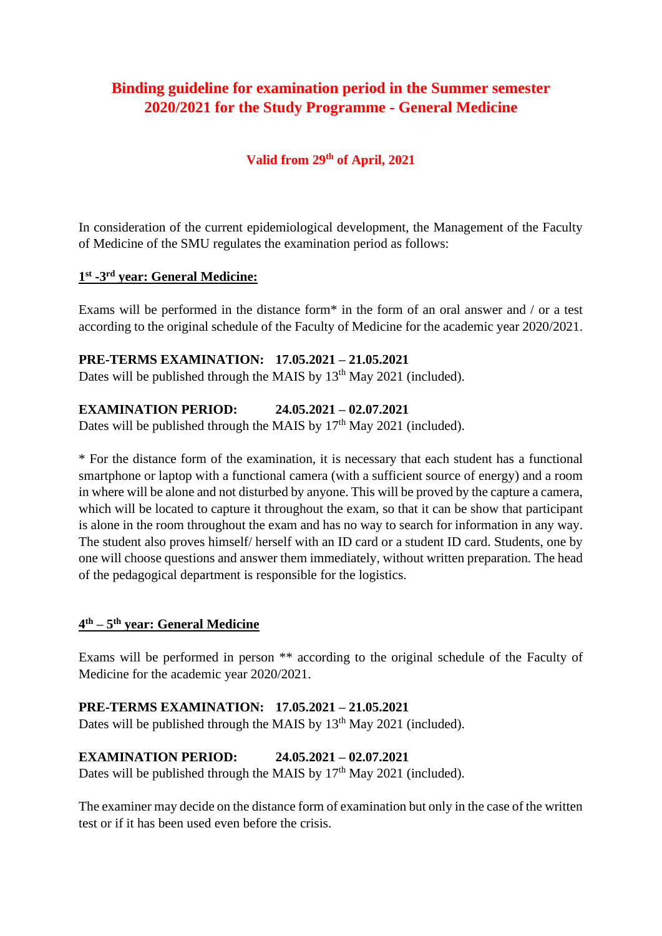# **Binding guideline for examination period in the Summer semester 2020/2021 for the Study Programme - General Medicine**

## **Valid from 29th of April, 2021**

In consideration of the current epidemiological development, the Management of the Faculty of Medicine of the SMU regulates the examination period as follows:

#### **1 st -3 rd year: General Medicine:**

Exams will be performed in the distance form\* in the form of an oral answer and / or a test according to the original schedule of the Faculty of Medicine for the academic year 2020/2021.

# **PRE-TERMS EXAMINATION: 17.05.2021 – 21.05.2021**

Dates will be published through the MAIS by 13<sup>th</sup> May 2021 (included).

### **EXAMINATION PERIOD: 24.05.2021 – 02.07.2021**

Dates will be published through the MAIS by  $17<sup>th</sup>$  May 2021 (included).

\* For the distance form of the examination, it is necessary that each student has a functional smartphone or laptop with a functional camera (with a sufficient source of energy) and a room in where will be alone and not disturbed by anyone. This will be proved by the capture a camera, which will be located to capture it throughout the exam, so that it can be show that participant is alone in the room throughout the exam and has no way to search for information in any way. The student also proves himself/ herself with an ID card or a student ID card. Students, one by one will choose questions and answer them immediately, without written preparation. The head of the pedagogical department is responsible for the logistics.

#### **4 th – 5 th year: General Medicine**

Exams will be performed in person \*\* according to the original schedule of the Faculty of Medicine for the academic year 2020/2021.

#### **PRE-TERMS EXAMINATION: 17.05.2021 – 21.05.2021**

Dates will be published through the MAIS by  $13<sup>th</sup>$  May 2021 (included).

#### **EXAMINATION PERIOD: 24.05.2021 – 02.07.2021**

Dates will be published through the MAIS by  $17<sup>th</sup>$  May 2021 (included).

The examiner may decide on the distance form of examination but only in the case of the written test or if it has been used even before the crisis.